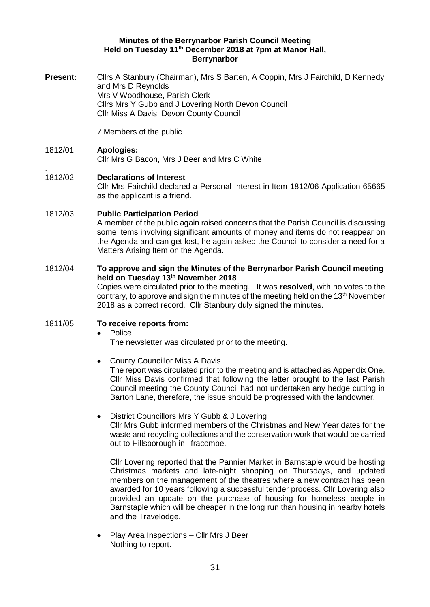### **Minutes of the Berrynarbor Parish Council Meeting Held on Tuesday 11th December 2018 at 7pm at Manor Hall, Berrynarbor**

**Present:** Cllrs A Stanbury (Chairman), Mrs S Barten, A Coppin, Mrs J Fairchild, D Kennedy and Mrs D Reynolds Mrs V Woodhouse, Parish Clerk Cllrs Mrs Y Gubb and J Lovering North Devon Council Cllr Miss A Davis, Devon County Council

7 Members of the public

## 1812/01 **Apologies:**

.

Cllr Mrs G Bacon, Mrs J Beer and Mrs C White

# 1812/02 **Declarations of Interest**

Cllr Mrs Fairchild declared a Personal Interest in Item 1812/06 Application 65665 as the applicant is a friend.

## 1812/03 **Public Participation Period**

A member of the public again raised concerns that the Parish Council is discussing some items involving significant amounts of money and items do not reappear on the Agenda and can get lost, he again asked the Council to consider a need for a Matters Arising Item on the Agenda.

## 1812/04 **To approve and sign the Minutes of the Berrynarbor Parish Council meeting held on Tuesday 13th November 2018**

Copies were circulated prior to the meeting. It was **resolved**, with no votes to the contrary, to approve and sign the minutes of the meeting held on the 13<sup>th</sup> November 2018 as a correct record. Cllr Stanbury duly signed the minutes.

## 1811/05 **To receive reports from:**

### • Police

The newsletter was circulated prior to the meeting.

• County Councillor Miss A Davis

The report was circulated prior to the meeting and is attached as Appendix One. Cllr Miss Davis confirmed that following the letter brought to the last Parish Council meeting the County Council had not undertaken any hedge cutting in Barton Lane, therefore, the issue should be progressed with the landowner.

• District Councillors Mrs Y Gubb & J Lovering Cllr Mrs Gubb informed members of the Christmas and New Year dates for the waste and recycling collections and the conservation work that would be carried out to Hillsborough in Ilfracombe.

Cllr Lovering reported that the Pannier Market in Barnstaple would be hosting Christmas markets and late-night shopping on Thursdays, and updated members on the management of the theatres where a new contract has been awarded for 10 years following a successful tender process. Cllr Lovering also provided an update on the purchase of housing for homeless people in Barnstaple which will be cheaper in the long run than housing in nearby hotels and the Travelodge.

• Play Area Inspections – Cllr Mrs J Beer Nothing to report.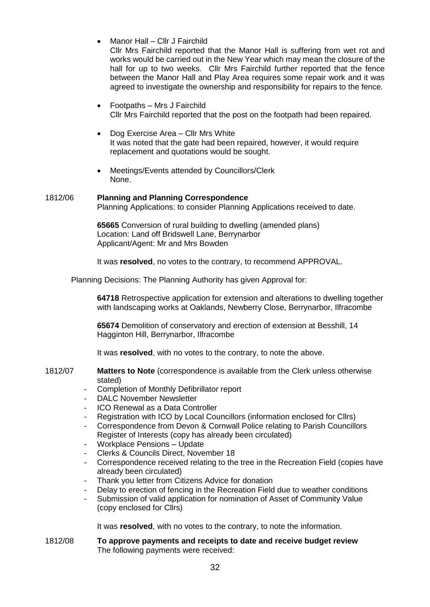• Manor Hall – Cllr J Fairchild

Cllr Mrs Fairchild reported that the Manor Hall is suffering from wet rot and works would be carried out in the New Year which may mean the closure of the hall for up to two weeks. Cllr Mrs Fairchild further reported that the fence between the Manor Hall and Play Area requires some repair work and it was agreed to investigate the ownership and responsibility for repairs to the fence.

- Footpaths Mrs J Fairchild Cllr Mrs Fairchild reported that the post on the footpath had been repaired.
- Dog Exercise Area Cllr Mrs White It was noted that the gate had been repaired, however, it would require replacement and quotations would be sought.
- Meetings/Events attended by Councillors/Clerk None.

### 1812/06 **Planning and Planning Correspondence** Planning Applications: to consider Planning Applications received to date.

**65665** Conversion of rural building to dwelling (amended plans) Location: Land off Bridswell Lane, Berrynarbor Applicant/Agent: Mr and Mrs Bowden

It was **resolved**, no votes to the contrary, to recommend APPROVAL.

Planning Decisions: The Planning Authority has given Approval for:

**64718** Retrospective application for extension and alterations to dwelling together with landscaping works at Oaklands, Newberry Close, Berrynarbor, Ilfracombe

**65674** Demolition of conservatory and erection of extension at Besshill, 14 Hagginton Hill, Berrynarbor, Ilfracombe

It was **resolved**, with no votes to the contrary, to note the above.

### 1812/07 **Matters to Note** (correspondence is available from the Clerk unless otherwise stated)

- Completion of Monthly Defibrillator report
- DALC November Newsletter
- ICO Renewal as a Data Controller
- Registration with ICO by Local Councillors (information enclosed for Cllrs)
- Correspondence from Devon & Cornwall Police relating to Parish Councillors Register of Interests (copy has already been circulated)
- Workplace Pensions Update
- Clerks & Councils Direct, November 18
- Correspondence received relating to the tree in the Recreation Field (copies have already been circulated)
- Thank you letter from Citizens Advice for donation
- Delay to erection of fencing in the Recreation Field due to weather conditions
- Submission of valid application for nomination of Asset of Community Value (copy enclosed for Cllrs)

It was **resolved**, with no votes to the contrary, to note the information.

1812/08 **To approve payments and receipts to date and receive budget review** The following payments were received: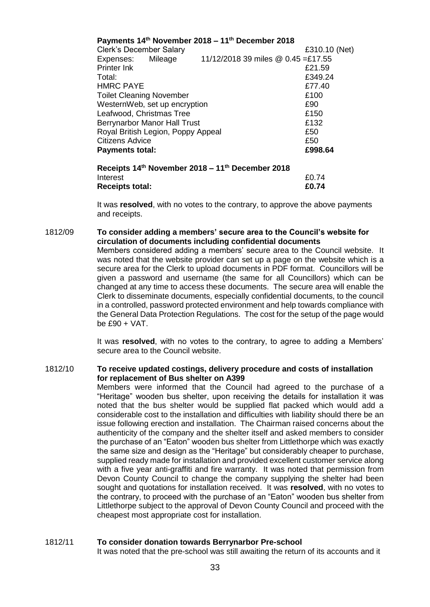|                                    |               | Payments 14 <sup>th</sup> November 2018 – 11 <sup>th</sup> December 2018 |         |
|------------------------------------|---------------|--------------------------------------------------------------------------|---------|
| <b>Clerk's December Salary</b>     | £310.10 (Net) |                                                                          |         |
| Expenses: Mileage                  |               | 11/12/2018 39 miles @ 0.45 =£17.55                                       |         |
| Printer Ink                        |               |                                                                          | £21.59  |
| Total:                             |               |                                                                          | £349.24 |
| <b>HMRC PAYE</b>                   |               |                                                                          | £77.40  |
| <b>Toilet Cleaning November</b>    |               |                                                                          | £100    |
| WesternWeb, set up encryption      |               |                                                                          | £90     |
| Leafwood, Christmas Tree           |               |                                                                          | £150    |
| Berrynarbor Manor Hall Trust       |               |                                                                          | £132    |
| Royal British Legion, Poppy Appeal |               |                                                                          | £50     |
| <b>Citizens Advice</b>             |               |                                                                          | £50     |
| <b>Payments total:</b>             |               |                                                                          | £998.64 |
|                                    |               | Receipts 14 <sup>th</sup> November 2018 – 11 <sup>th</sup> December 2018 |         |
|                                    |               |                                                                          |         |

Interest E0.74 **Receipts total: £0.74**

It was **resolved**, with no votes to the contrary, to approve the above payments and receipts.

1812/09 **To consider adding a members' secure area to the Council's website for circulation of documents including confidential documents**

Members considered adding a members' secure area to the Council website. It was noted that the website provider can set up a page on the website which is a secure area for the Clerk to upload documents in PDF format. Councillors will be given a password and username (the same for all Councillors) which can be changed at any time to access these documents. The secure area will enable the Clerk to disseminate documents, especially confidential documents, to the council in a controlled, password protected environment and help towards compliance with the General Data Protection Regulations. The cost for the setup of the page would be £90 + VAT.

It was **resolved**, with no votes to the contrary, to agree to adding a Members' secure area to the Council website.

### 1812/10 **To receive updated costings, delivery procedure and costs of installation for replacement of Bus shelter on A399**

Members were informed that the Council had agreed to the purchase of a "Heritage" wooden bus shelter, upon receiving the details for installation it was noted that the bus shelter would be supplied flat packed which would add a considerable cost to the installation and difficulties with liability should there be an issue following erection and installation. The Chairman raised concerns about the authenticity of the company and the shelter itself and asked members to consider the purchase of an "Eaton" wooden bus shelter from Littlethorpe which was exactly the same size and design as the "Heritage" but considerably cheaper to purchase, supplied ready made for installation and provided excellent customer service along with a five year anti-graffiti and fire warranty. It was noted that permission from Devon County Council to change the company supplying the shelter had been sought and quotations for installation received. It was **resolved**, with no votes to the contrary, to proceed with the purchase of an "Eaton" wooden bus shelter from Littlethorpe subject to the approval of Devon County Council and proceed with the cheapest most appropriate cost for installation.

## 1812/11 **To consider donation towards Berrynarbor Pre-school**

It was noted that the pre-school was still awaiting the return of its accounts and it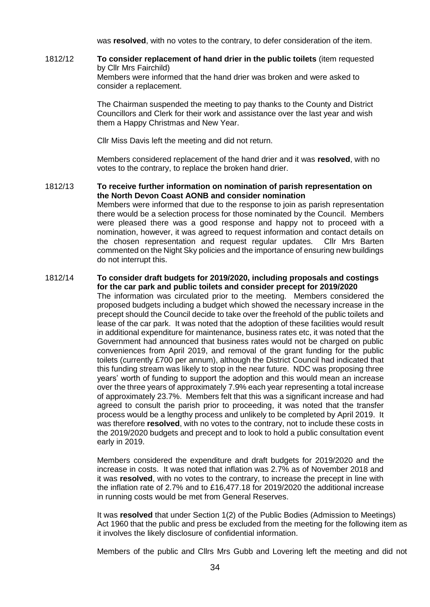was **resolved**, with no votes to the contrary, to defer consideration of the item.

1812/12 **To consider replacement of hand drier in the public toilets** (item requested by Cllr Mrs Fairchild) Members were informed that the hand drier was broken and were asked to consider a replacement.

> The Chairman suspended the meeting to pay thanks to the County and District Councillors and Clerk for their work and assistance over the last year and wish them a Happy Christmas and New Year.

Cllr Miss Davis left the meeting and did not return.

Members considered replacement of the hand drier and it was **resolved**, with no votes to the contrary, to replace the broken hand drier.

1812/13 **To receive further information on nomination of parish representation on the North Devon Coast AONB and consider nomination**

Members were informed that due to the response to join as parish representation there would be a selection process for those nominated by the Council. Members were pleased there was a good response and happy not to proceed with a nomination, however, it was agreed to request information and contact details on the chosen representation and request regular updates. Cllr Mrs Barten commented on the Night Sky policies and the importance of ensuring new buildings do not interrupt this.

#### 1812/14 **To consider draft budgets for 2019/2020, including proposals and costings for the car park and public toilets and consider precept for 2019/2020**

The information was circulated prior to the meeting. Members considered the proposed budgets including a budget which showed the necessary increase in the precept should the Council decide to take over the freehold of the public toilets and lease of the car park. It was noted that the adoption of these facilities would result in additional expenditure for maintenance, business rates etc, it was noted that the Government had announced that business rates would not be charged on public conveniences from April 2019, and removal of the grant funding for the public toilets (currently £700 per annum), although the District Council had indicated that this funding stream was likely to stop in the near future. NDC was proposing three years' worth of funding to support the adoption and this would mean an increase over the three years of approximately 7.9% each year representing a total increase of approximately 23.7%. Members felt that this was a significant increase and had agreed to consult the parish prior to proceeding, it was noted that the transfer process would be a lengthy process and unlikely to be completed by April 2019. It was therefore **resolved**, with no votes to the contrary, not to include these costs in the 2019/2020 budgets and precept and to look to hold a public consultation event early in 2019.

Members considered the expenditure and draft budgets for 2019/2020 and the increase in costs. It was noted that inflation was 2.7% as of November 2018 and it was **resolved**, with no votes to the contrary, to increase the precept in line with the inflation rate of 2.7% and to £16,477.18 for 2019/2020 the additional increase in running costs would be met from General Reserves.

It was **resolved** that under Section 1(2) of the Public Bodies (Admission to Meetings) Act 1960 that the public and press be excluded from the meeting for the following item as it involves the likely disclosure of confidential information.

Members of the public and Cllrs Mrs Gubb and Lovering left the meeting and did not